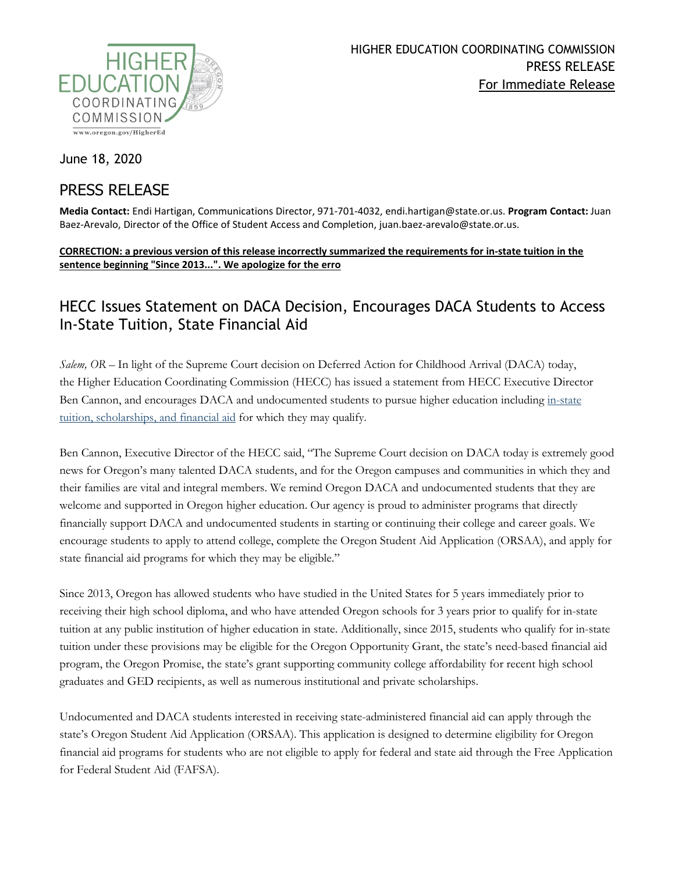

June 18, 2020

## PRESS RELEASE

**Media Contact:** Endi Hartigan, Communications Director, 971-701-4032, endi.hartigan@state.or.us. **Program Contact:** Juan Baez-Arevalo, Director of the Office of Student Access and Completion, juan.baez-arevalo@state.or.us.

## **CORRECTION: a previous version of this release incorrectly summarized the requirements for in-state tuition in the sentence beginning "Since 2013...". We apologize for the erro**

## HECC Issues Statement on DACA Decision, Encourages DACA Students to Access In-State Tuition, State Financial Aid

*Salem, OR –* In light of the Supreme Court decision on Deferred Action for Childhood Arrival (DACA) today, the Higher Education Coordinating Commission (HECC) has issued a statement from HECC Executive Director Ben Cannon, and encourages DACA and undocumented students to pursue higher education including in-state [tuition, scholarships, and financial aid](https://oregonstudentaid.gov/finaid-undocumented.aspx) for which they may qualify.

Ben Cannon, Executive Director of the HECC said, "The Supreme Court decision on DACA today is extremely good news for Oregon's many talented DACA students, and for the Oregon campuses and communities in which they and their families are vital and integral members. We remind Oregon DACA and undocumented students that they are welcome and supported in Oregon higher education. Our agency is proud to administer programs that directly financially support DACA and undocumented students in starting or continuing their college and career goals. We encourage students to apply to attend college, complete the Oregon Student Aid Application (ORSAA), and apply for state financial aid programs for which they may be eligible."

Since 2013, Oregon has allowed students who have studied in the United States for 5 years immediately prior to receiving their high school diploma, and who have attended Oregon schools for 3 years prior to qualify for in-state tuition at any public institution of higher education in state. Additionally, since 2015, students who qualify for in-state tuition under these provisions may be eligible for the Oregon Opportunity Grant, the state's need-based financial aid program, the Oregon Promise, the state's grant supporting community college affordability for recent high school graduates and GED recipients, as well as numerous institutional and private scholarships.

Undocumented and DACA students interested in receiving state-administered financial aid can apply through the state's Oregon Student Aid Application (ORSAA). This application is designed to determine eligibility for Oregon financial aid programs for students who are not eligible to apply for federal and state aid through the Free Application for Federal Student Aid (FAFSA).